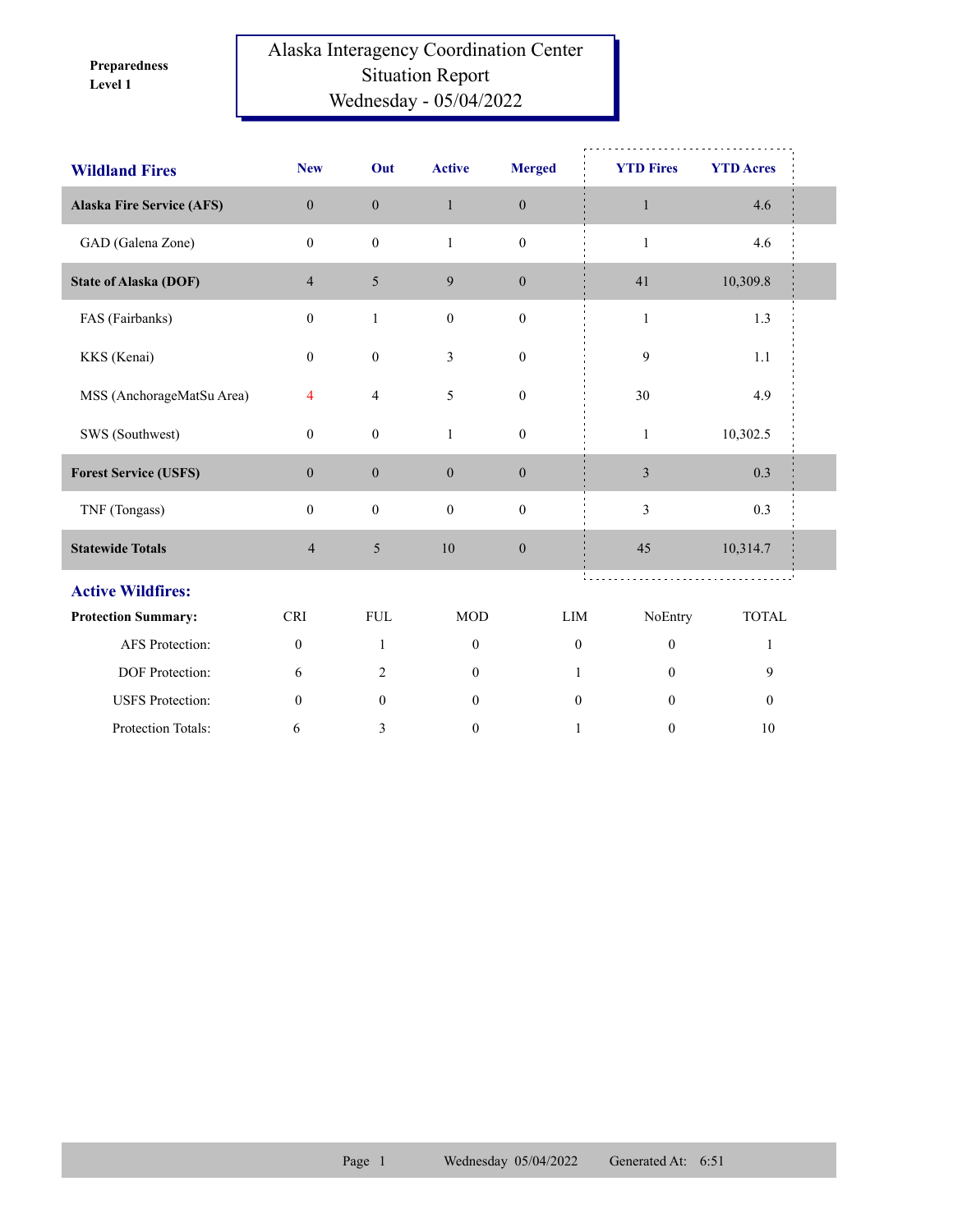**Level 1 Preparedness** 

## Alaska Interagency Coordination Center Situation Report Wednesday - 05/04/2022

| <b>Wildland Fires</b>            | <b>New</b>       | Out                     | <b>Active</b>    | <b>Merged</b>    | <b>YTD Fires</b> | <b>YTD Acres</b> |  |
|----------------------------------|------------------|-------------------------|------------------|------------------|------------------|------------------|--|
| <b>Alaska Fire Service (AFS)</b> | $\mathbf{0}$     | $\mathbf{0}$            | $\mathbf{1}$     | $\boldsymbol{0}$ | $\mathbf{1}$     | 4.6              |  |
| GAD (Galena Zone)                | $\mathbf{0}$     | $\boldsymbol{0}$        | $\mathbf{1}$     | $\boldsymbol{0}$ | $\mathbf{1}$     | 4.6              |  |
| <b>State of Alaska (DOF)</b>     | $\overline{4}$   | 5                       | 9                | $\mathbf{0}$     | 41               | 10,309.8         |  |
| FAS (Fairbanks)                  | $\mathbf{0}$     | $\mathbf{1}$            | $\boldsymbol{0}$ | $\boldsymbol{0}$ | $\mathbf{1}$     | 1.3              |  |
| KKS (Kenai)                      | $\mathbf{0}$     | $\boldsymbol{0}$        | 3                | $\mathbf{0}$     | 9                | 1.1              |  |
| MSS (AnchorageMatSu Area)        | $\overline{4}$   | $\overline{\mathbf{4}}$ | 5                | $\boldsymbol{0}$ | 30               | 4.9              |  |
| SWS (Southwest)                  | $\mathbf{0}$     | $\boldsymbol{0}$        | $\mathbf{1}$     | $\boldsymbol{0}$ | $\mathbf{1}$     | 10,302.5         |  |
| <b>Forest Service (USFS)</b>     | $\boldsymbol{0}$ | $\boldsymbol{0}$        | $\boldsymbol{0}$ | $\boldsymbol{0}$ | $\sqrt{3}$       | 0.3              |  |
| TNF (Tongass)                    | $\boldsymbol{0}$ | $\boldsymbol{0}$        | $\mathbf{0}$     | $\boldsymbol{0}$ | 3                | 0.3              |  |
| <b>Statewide Totals</b>          | $\overline{4}$   | $\sqrt{5}$              | 10               | $\boldsymbol{0}$ | 45               | 10,314.7         |  |
| <b>Active Wildfires:</b>         |                  |                         |                  |                  |                  |                  |  |
| <b>Protection Summary:</b>       | <b>CRI</b>       | <b>FUL</b>              | <b>MOD</b>       | LIM              | NoEntry          | <b>TOTAL</b>     |  |
| AFS Protection:                  | $\boldsymbol{0}$ | $\mathbf{1}$            | $\mathbf{0}$     | $\mathbf{0}$     | $\mathbf{0}$     | $\mathbf{1}$     |  |
| DOF Protection:                  | 6                | $\overline{2}$          | $\mathbf{0}$     | 1                | $\mathbf{0}$     | 9                |  |
| <b>USFS</b> Protection:          | $\mathbf{0}$     | $\mathbf{0}$            | $\mathbf{0}$     | $\mathbf{0}$     | $\theta$         | $\mathbf{0}$     |  |
| Protection Totals:               | 6                | 3                       | $\boldsymbol{0}$ | 1                | $\boldsymbol{0}$ | 10               |  |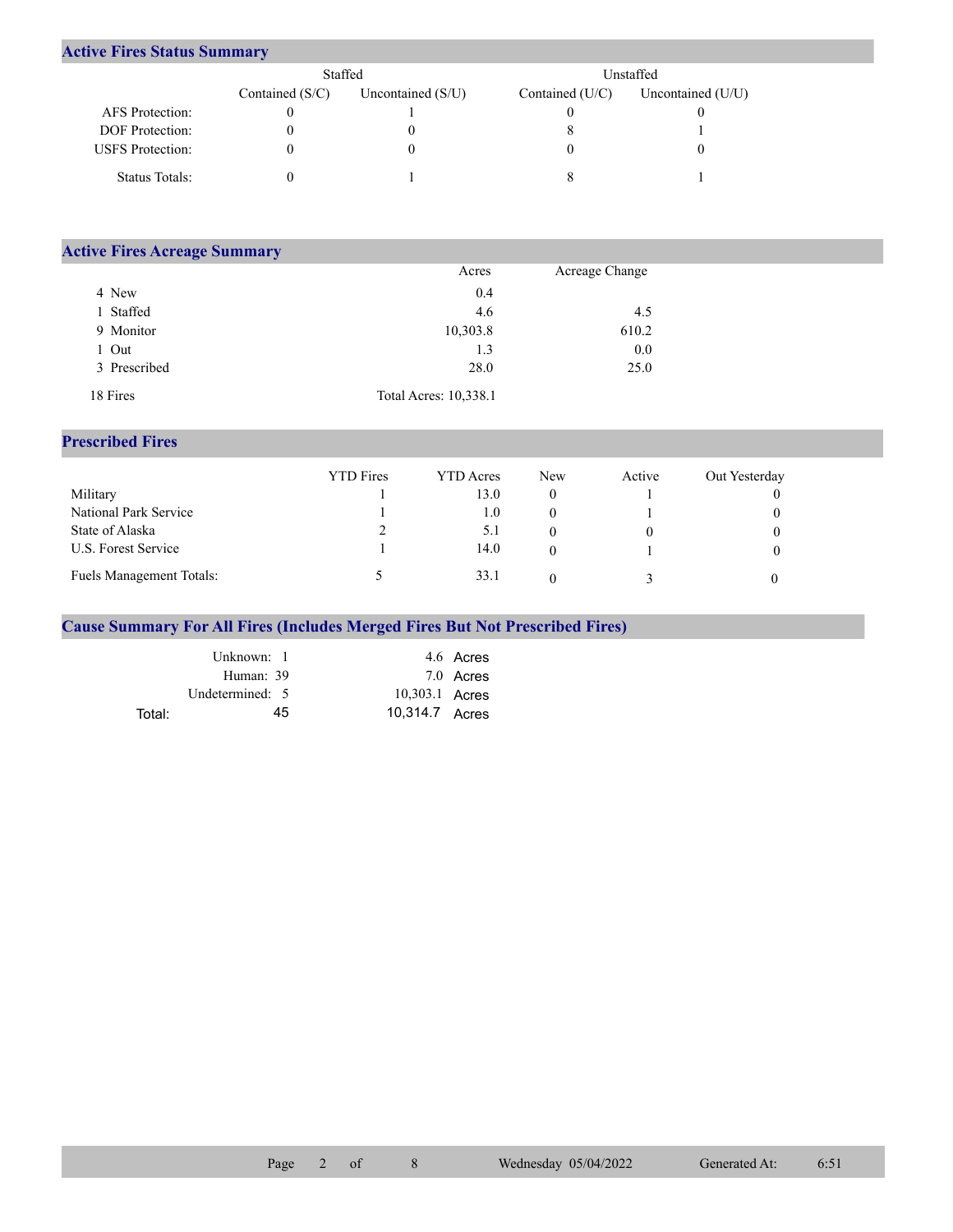## **Active Fires Status Summary**

|                         | Staffed           |                     | Unstaffed       |                   |  |
|-------------------------|-------------------|---------------------|-----------------|-------------------|--|
|                         | Contained $(S/C)$ | Uncontained $(S/U)$ | Contained (U/C) | Uncontained (U/U) |  |
| AFS Protection:         |                   |                     |                 |                   |  |
| DOF Protection:         |                   |                     |                 |                   |  |
| <b>USFS</b> Protection: |                   |                     |                 |                   |  |
| Status Totals:          |                   |                     |                 |                   |  |

| <b>Active Fires Acreage Summary</b> |                       |                |  |
|-------------------------------------|-----------------------|----------------|--|
|                                     | Acres                 | Acreage Change |  |
| 4 New                               | 0.4                   |                |  |
| Staffed                             | 4.6                   | 4.5            |  |
| 9 Monitor                           | 10,303.8              | 610.2          |  |
| Out                                 | 1.3                   | 0.0            |  |
| 3 Prescribed                        | 28.0                  | 25.0           |  |
| 18 Fires                            | Total Acres: 10,338.1 |                |  |

## **Prescribed Fires**

|                                 | <b>YTD</b> Fires | YTD Acres | <b>New</b> | Active | Out Yesterday |
|---------------------------------|------------------|-----------|------------|--------|---------------|
| Military                        |                  | 13.0      |            |        |               |
| National Park Service           |                  | 1.0       |            |        |               |
| State of Alaska                 |                  | 5.1       |            |        |               |
| U.S. Forest Service             |                  | 14.0      |            |        |               |
| <b>Fuels Management Totals:</b> |                  | 33.1      |            |        |               |

## **Cause Summary For All Fires (Includes Merged Fires But Not Prescribed Fires)**

|        | Unknown: 1      |                | 4.6 Acres |
|--------|-----------------|----------------|-----------|
|        | Human: 39       |                | 7.0 Acres |
|        | Undetermined: 5 | 10,303.1 Acres |           |
| Total: | 45              | 10.314.7 Acres |           |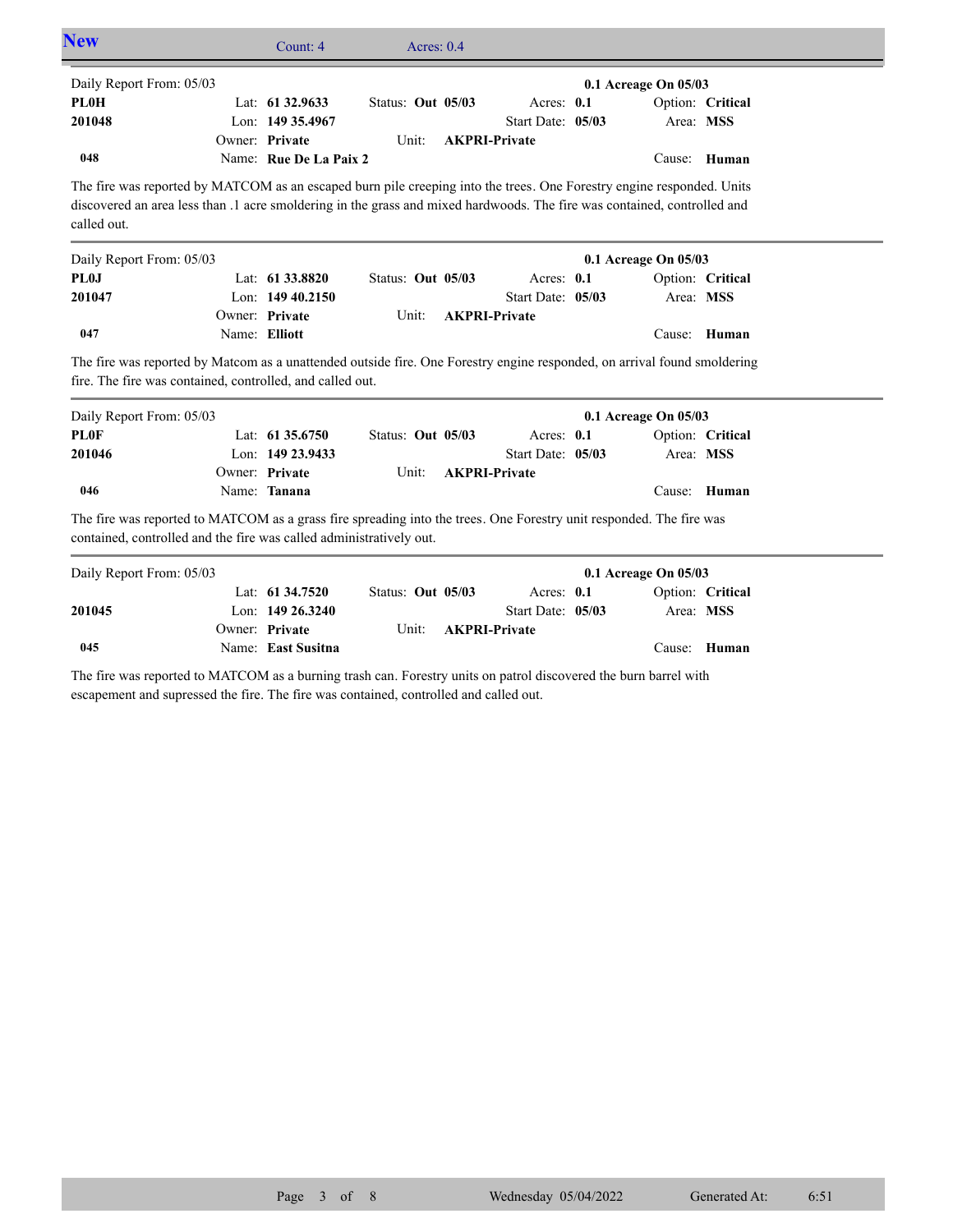| <b>New</b>                                                                                                                                                                                                                                                                  |                | Count: 4                             | Acres: $0.4$      |                                 |                      |                  |
|-----------------------------------------------------------------------------------------------------------------------------------------------------------------------------------------------------------------------------------------------------------------------------|----------------|--------------------------------------|-------------------|---------------------------------|----------------------|------------------|
| Daily Report From: 05/03                                                                                                                                                                                                                                                    |                |                                      |                   |                                 | 0.1 Acreage On 05/03 |                  |
| <b>PL0H</b>                                                                                                                                                                                                                                                                 |                | Lat: 61 32.9633                      | Status: Out 05/03 | Acres: 0.1                      |                      | Option: Critical |
| 201048                                                                                                                                                                                                                                                                      |                | Lon: 149 35.4967                     |                   | Start Date: 05/03               | Area: MSS            |                  |
|                                                                                                                                                                                                                                                                             |                | Owner: Private                       | Unit:             | <b>AKPRI-Private</b>            |                      |                  |
| 048                                                                                                                                                                                                                                                                         |                | Name: Rue De La Paix 2               |                   |                                 |                      | Cause: Human     |
| The fire was reported by MATCOM as an escaped burn pile creeping into the trees. One Forestry engine responded. Units<br>discovered an area less than .1 acre smoldering in the grass and mixed hardwoods. The fire was contained, controlled and<br>called out.            |                |                                      |                   |                                 |                      |                  |
| Daily Report From: 05/03                                                                                                                                                                                                                                                    |                |                                      |                   |                                 | 0.1 Acreage On 05/03 |                  |
| <b>PL0J</b>                                                                                                                                                                                                                                                                 |                | Lat: $61\,33.8820$                   | Status: Out 05/03 | Acres: 0.1                      |                      | Option: Critical |
| 201047                                                                                                                                                                                                                                                                      |                | Lon: $14940.2150$                    |                   | Start Date: 05/03               | Area: MSS            |                  |
|                                                                                                                                                                                                                                                                             |                |                                      |                   | <b>AKPRI-Private</b>            |                      |                  |
|                                                                                                                                                                                                                                                                             | Owner: Private |                                      | Unit:             |                                 |                      |                  |
| 047                                                                                                                                                                                                                                                                         |                | Name: Elliott                        |                   |                                 |                      | Cause: Human     |
| The fire was reported by Matcom as a unattended outside fire. One Forestry engine responded, on arrival found smoldering<br>fire. The fire was contained, controlled, and called out.                                                                                       |                |                                      |                   |                                 |                      |                  |
|                                                                                                                                                                                                                                                                             |                |                                      |                   |                                 | 0.1 Acreage On 05/03 |                  |
|                                                                                                                                                                                                                                                                             |                | Lat: 61 35.6750<br>Lon: 149 23.9433  | Status: Out 05/03 | Acres: 0.1<br>Start Date: 05/03 | Area: MSS            | Option: Critical |
|                                                                                                                                                                                                                                                                             |                | Owner: Private                       | Unit:             | <b>AKPRI-Private</b>            |                      |                  |
| 046                                                                                                                                                                                                                                                                         |                | Name: Tanana                         |                   |                                 |                      | Cause: Human     |
|                                                                                                                                                                                                                                                                             |                |                                      |                   |                                 |                      |                  |
| Daily Report From: 05/03<br><b>PLOF</b><br>201046<br>The fire was reported to MATCOM as a grass fire spreading into the trees. One Forestry unit responded. The fire was<br>contained, controlled and the fire was called administratively out.<br>Daily Report From: 05/03 |                |                                      |                   |                                 | 0.1 Acreage On 05/03 |                  |
|                                                                                                                                                                                                                                                                             |                | Lat: $61\,34.7520$                   | Status: Out 05/03 | Acres: $0.1$                    |                      | Option: Critical |
|                                                                                                                                                                                                                                                                             |                | Lon: 149 26.3240                     |                   | Start Date: 05/03               | Area: MSS            |                  |
| 201045<br>045                                                                                                                                                                                                                                                               |                | Owner: Private<br>Name: East Susitna | Unit:             | <b>AKPRI-Private</b>            |                      | Cause: Human     |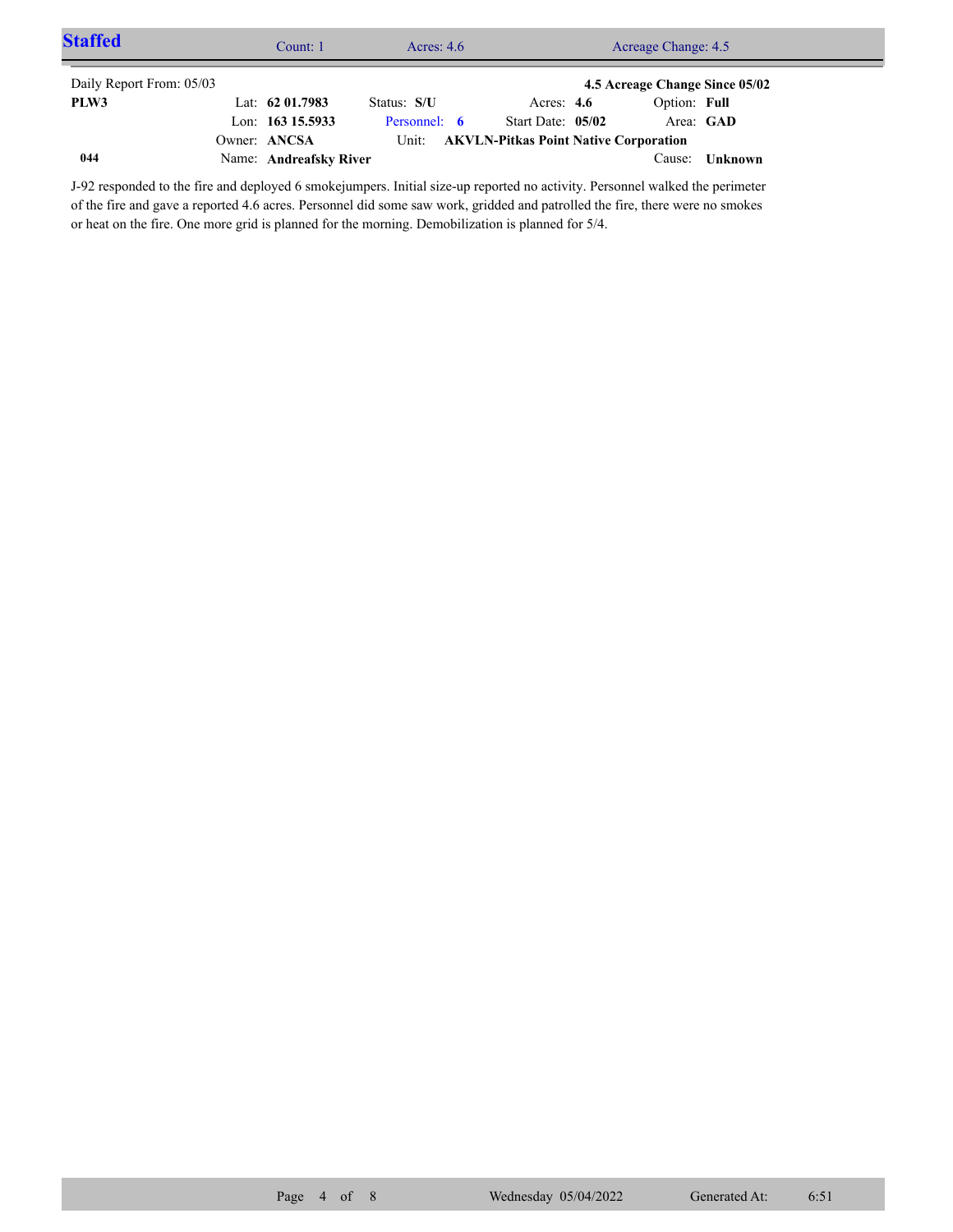| <b>Staffed</b>           | Acres: $4.6$<br>Acreage Change: 4.5<br>Count: 1 |                        |              |  |                                              |                                |         |  |
|--------------------------|-------------------------------------------------|------------------------|--------------|--|----------------------------------------------|--------------------------------|---------|--|
| Daily Report From: 05/03 |                                                 |                        |              |  |                                              | 4.5 Acreage Change Since 05/02 |         |  |
| PLW3                     |                                                 | Lat: $62\,01.7983$     | Status: S/U  |  | Acres: $4.6$                                 | Option: Full                   |         |  |
|                          |                                                 | Lon: $163$ 15.5933     | Personnel: 6 |  | Start Date: 05/02                            | Area: GAD                      |         |  |
|                          |                                                 | Owner: ANCSA           | Unit:        |  | <b>AKVLN-Pitkas Point Native Corporation</b> |                                |         |  |
| 044                      |                                                 | Name: Andreafsky River |              |  |                                              | Cause:                         | Unknown |  |

J-92 responded to the fire and deployed 6 smokejumpers. Initial size-up reported no activity. Personnel walked the perimeter of the fire and gave a reported 4.6 acres. Personnel did some saw work, gridded and patrolled the fire, there were no smokes or heat on the fire. One more grid is planned for the morning. Demobilization is planned for 5/4.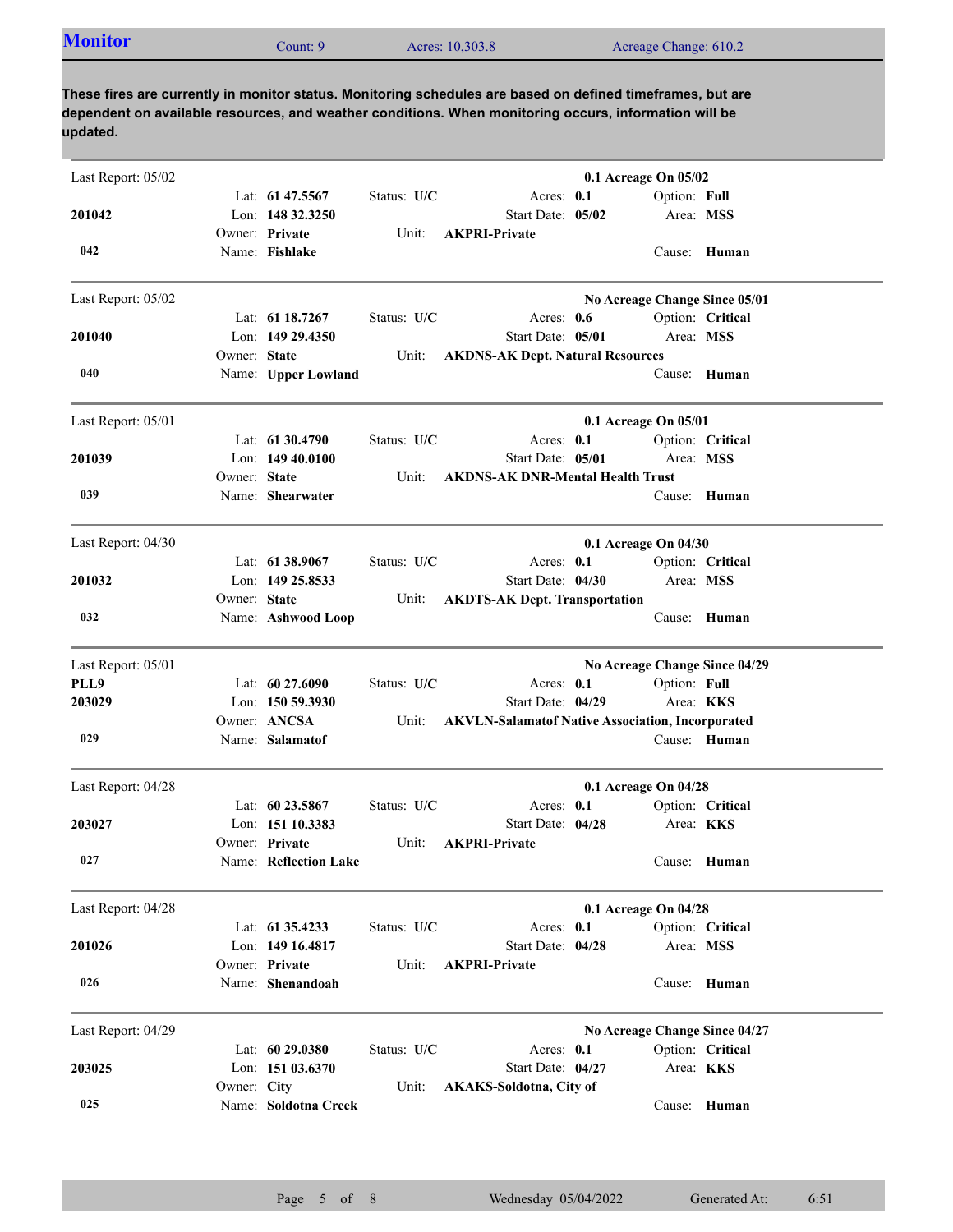| <b>Monitor</b> | Count: 9 | Acres: 10,303.8 | Acreage Change: 610.2 |  |
|----------------|----------|-----------------|-----------------------|--|
|                |          |                 |                       |  |

**These fires are currently in monitor status. Monitoring schedules are based on defined timeframes, but are dependent on available resources, and weather conditions. When monitoring occurs, information will be updated.**

| Last Report: 05/02 |              |                                         |             |                                                                              | 0.1 Acreage On 05/02 |                           |                               |
|--------------------|--------------|-----------------------------------------|-------------|------------------------------------------------------------------------------|----------------------|---------------------------|-------------------------------|
| 201042             |              | Lat: 61 47.5567<br>Lon: 148 32.3250     | Status: U/C | Acres: 0.1<br>Start Date: 05/02                                              |                      | Option: Full<br>Area: MSS |                               |
| 042                |              | Owner: Private<br>Name: Fishlake        | Unit:       | <b>AKPRI-Private</b>                                                         |                      |                           | Cause: Human                  |
| Last Report: 05/02 |              |                                         |             |                                                                              |                      |                           | No Acreage Change Since 05/01 |
| 201040             |              | Lat: 61 18.7267<br>Lon: 149 29.4350     | Status: U/C | Acres: 0.6<br>Start Date: 05/01                                              |                      | Area: MSS                 | Option: Critical              |
|                    | Owner: State |                                         | Unit:       | <b>AKDNS-AK Dept. Natural Resources</b>                                      |                      |                           |                               |
| 040                |              | Name: Upper Lowland                     |             |                                                                              |                      |                           | Cause: Human                  |
| Last Report: 05/01 |              |                                         |             |                                                                              | 0.1 Acreage On 05/01 |                           |                               |
|                    |              | Lat: 61 30.4790                         | Status: U/C | Acres: 0.1                                                                   |                      |                           | Option: Critical              |
| 201039             | Owner: State | Lon: $14940.0100$                       | Unit:       | Start Date: 05/01<br><b>AKDNS-AK DNR-Mental Health Trust</b>                 |                      | Area: MSS                 |                               |
| 039                |              | Name: Shearwater                        |             |                                                                              |                      |                           | Cause: Human                  |
| Last Report: 04/30 |              |                                         |             |                                                                              | 0.1 Acreage On 04/30 |                           |                               |
|                    |              | Lat: 61 38.9067                         | Status: U/C | Acres: $0.1$                                                                 |                      |                           | Option: Critical              |
| 201032             |              | Lon: 149 25.8533                        |             | Start Date: 04/30                                                            |                      | Area: MSS                 |                               |
| 032                | Owner: State | Name: Ashwood Loop                      | Unit:       | <b>AKDTS-AK Dept. Transportation</b>                                         |                      |                           | Cause: Human                  |
|                    |              |                                         |             |                                                                              |                      |                           |                               |
| Last Report: 05/01 |              |                                         |             |                                                                              |                      |                           | No Acreage Change Since 04/29 |
| PLL9               |              | Lat: 60 27,6090                         | Status: U/C | Acres: 0.1                                                                   |                      | Option: Full              |                               |
| 203029             |              | Lon: 150 59.3930<br>Owner: ANCSA        | Unit:       | Start Date: 04/29<br><b>AKVLN-Salamatof Native Association, Incorporated</b> |                      | Area: <b>KKS</b>          |                               |
| 029                |              | Name: Salamatof                         |             |                                                                              |                      |                           | Cause: Human                  |
| Last Report: 04/28 |              |                                         |             |                                                                              | 0.1 Acreage On 04/28 |                           |                               |
|                    |              | Lat: $60\,23.5867$                      | Status: U/C | Acres: 0.1                                                                   |                      |                           | Option: Critical              |
| 203027             |              | Lon: 151 10.3383                        |             | Start Date: 04/28                                                            |                      | Area: <b>KKS</b>          |                               |
| 027                |              | Owner: Private<br>Name: Reflection Lake | Unit:       | <b>AKPRI-Private</b>                                                         |                      |                           | Cause: Human                  |
| Last Report: 04/28 |              |                                         |             |                                                                              | 0.1 Acreage On 04/28 |                           |                               |
|                    |              | Lat: 61 35.4233                         | Status: U/C | Acres: 0.1                                                                   |                      |                           | Option: Critical              |
| 201026             |              | Lon: 149 16.4817                        |             | Start Date: 04/28                                                            |                      | Area: MSS                 |                               |
| 026                |              | Owner: Private<br>Name: Shenandoah      | Unit:       | <b>AKPRI-Private</b>                                                         |                      |                           | Cause: Human                  |
| Last Report: 04/29 |              |                                         |             |                                                                              |                      |                           | No Acreage Change Since 04/27 |
|                    |              | Lat: 60 29.0380                         | Status: U/C | Acres: 0.1                                                                   |                      |                           | Option: Critical              |
| 203025             |              | Lon: 151 03.6370                        |             | Start Date: 04/27                                                            |                      |                           | Area: KKS                     |
| 025                | Owner: City  | Name: Soldotna Creek                    | Unit:       | <b>AKAKS-Soldotna, City of</b>                                               |                      |                           | Cause: Human                  |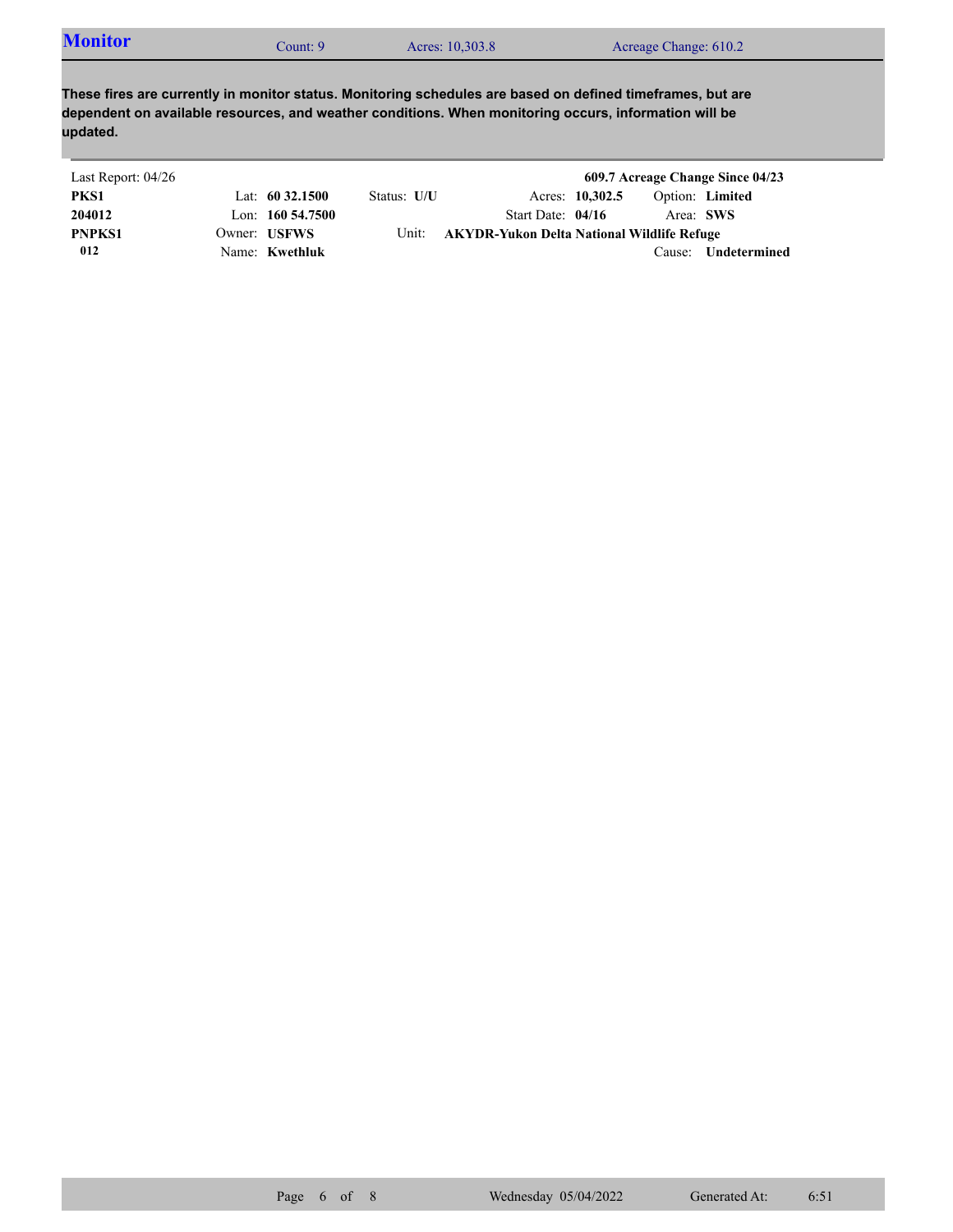| <b>Monitor</b> | Count: 9 | Acres: 10,303.8 | Acreage Change: 610.2 |  |
|----------------|----------|-----------------|-----------------------|--|
|----------------|----------|-----------------|-----------------------|--|

**These fires are currently in monitor status. Monitoring schedules are based on defined timeframes, but are dependent on available resources, and weather conditions. When monitoring occurs, information will be updated.**

| Last Report: 04/26 |                     |             |                                            |                 |           | 609.7 Acreage Change Since 04/23 |
|--------------------|---------------------|-------------|--------------------------------------------|-----------------|-----------|----------------------------------|
| PKS1               | Lat: $60\,32.1500$  | Status: U/U |                                            | Acres: 10,302.5 |           | Option: Limited                  |
| 204012             | Lon: $160\,54.7500$ |             | Start Date: $04/16$                        |                 | Area: SWS |                                  |
| <b>PNPKS1</b>      | Owner: USFWS        | Unit:       | AKYDR-Yukon Delta National Wildlife Refuge |                 |           |                                  |
| 012                | Name: Kwethluk      |             |                                            |                 | Cause:    | Undetermined                     |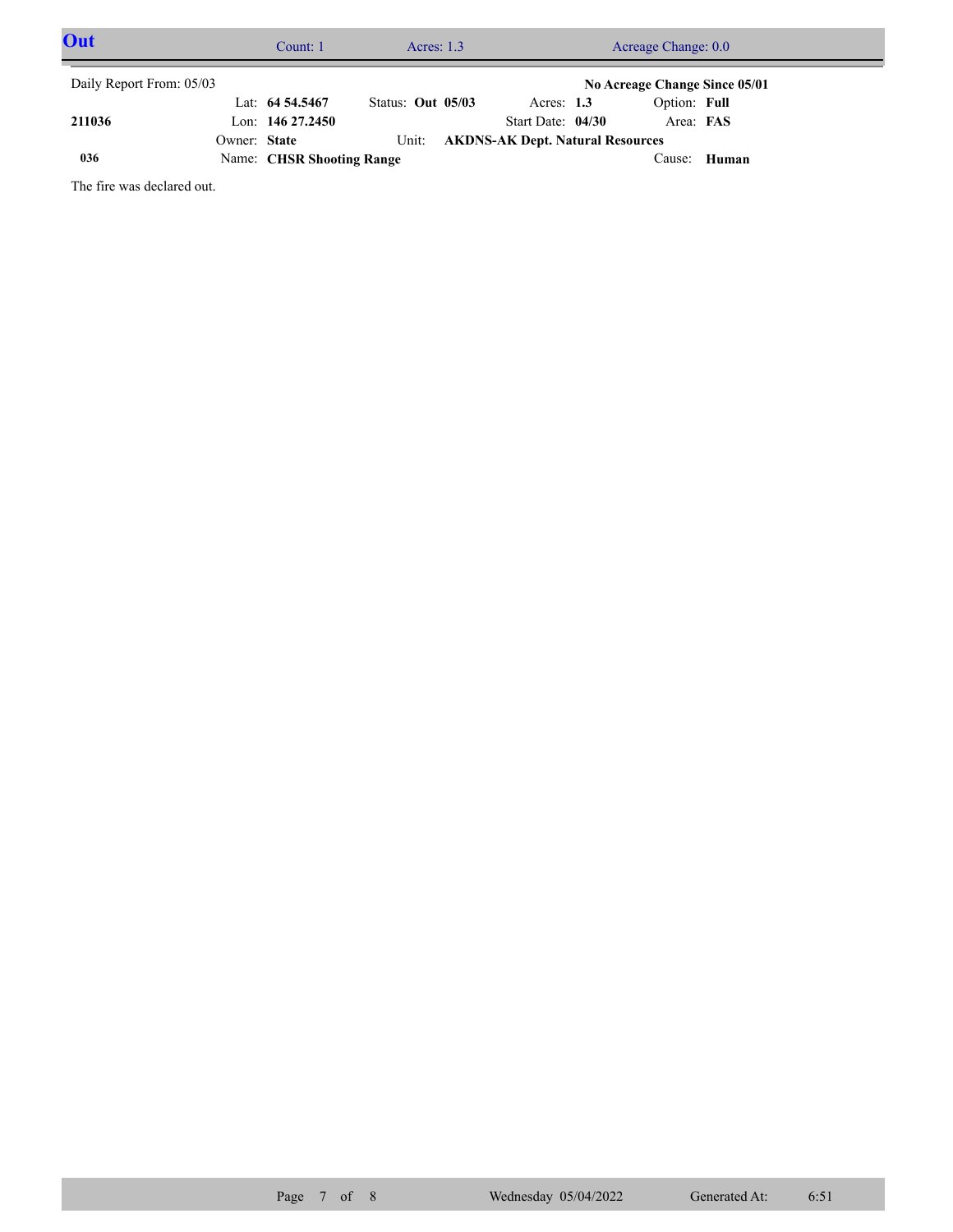| Out                      |              | Count: 1                  | Acres: $1.3$      | Acreage Change: 0.0                     |  |                               |       |  |
|--------------------------|--------------|---------------------------|-------------------|-----------------------------------------|--|-------------------------------|-------|--|
| Daily Report From: 05/03 |              |                           |                   |                                         |  | No Acreage Change Since 05/01 |       |  |
|                          |              | Lat: $64\,54.5467$        | Status: Out 05/03 | Acres: $1.3$                            |  | Option: Full                  |       |  |
| 211036                   |              | Lon: $14627.2450$         |                   | Start Date: 04/30                       |  | Area: FAS                     |       |  |
|                          | Owner: State |                           | Unit:             | <b>AKDNS-AK Dept. Natural Resources</b> |  |                               |       |  |
| 036                      |              | Name: CHSR Shooting Range |                   |                                         |  | Cause:                        | Human |  |

The fire was declared out.